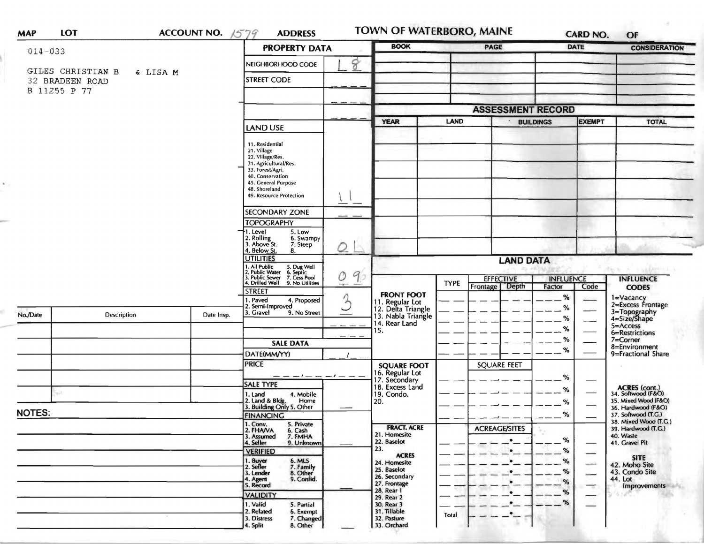| <b>MAP</b>    | LOT                                  | ACCOUNT NO. 1579 | <b>ADDRESS</b>                                                                                                                                              |         | TOWN OF WATERBORO, MAINE                                   |                  |                           |                  | <b>CARD NO.</b>          | OF                                                             |
|---------------|--------------------------------------|------------------|-------------------------------------------------------------------------------------------------------------------------------------------------------------|---------|------------------------------------------------------------|------------------|---------------------------|------------------|--------------------------|----------------------------------------------------------------|
| $014 - 033$   |                                      |                  | <b>PROPERTY DATA</b>                                                                                                                                        |         | <b>BOOK</b>                                                |                  | PAGE                      |                  | <b>DATE</b>              | <b>CONSIDERATION</b>                                           |
|               |                                      |                  | NEIGHBORHOOD CODE                                                                                                                                           | 8       |                                                            |                  |                           |                  |                          |                                                                |
|               | GILES CHRISTIAN B<br>32 BRADEEN ROAD | & LISA M         | <b>STREET CODE</b>                                                                                                                                          |         |                                                            |                  |                           |                  |                          |                                                                |
|               | B 11255 P 77                         |                  |                                                                                                                                                             |         |                                                            |                  |                           |                  |                          |                                                                |
|               |                                      |                  |                                                                                                                                                             |         |                                                            |                  | <b>ASSESSMENT RECORD</b>  |                  |                          |                                                                |
|               |                                      |                  |                                                                                                                                                             |         | <b>YEAR</b>                                                | <b>LAND</b>      |                           | <b>BUILDINGS</b> | <b>EXEMPT</b>            | <b>TOTAL</b>                                                   |
|               |                                      |                  | <b>LAND USE</b>                                                                                                                                             |         |                                                            |                  |                           |                  |                          |                                                                |
|               |                                      |                  | 11. Residential<br>21. Village<br>22. Village/Res.<br>31. Agricultural/Res.<br>33. Forest/Agri.<br>40. Conservation<br>45. General Purpose<br>48. Shoreland |         |                                                            |                  |                           |                  |                          |                                                                |
|               |                                      |                  | 49. Resource Protection                                                                                                                                     |         |                                                            |                  |                           |                  |                          |                                                                |
|               |                                      |                  | <b>SECONDARY ZONE</b>                                                                                                                                       |         |                                                            |                  |                           |                  |                          |                                                                |
|               |                                      |                  | <b>TOPOGRAPHY</b>                                                                                                                                           |         |                                                            |                  |                           |                  |                          |                                                                |
|               |                                      |                  | 1. Level<br>5. Low<br>2. Rolling<br>3. Above St.<br>6. Swampy<br>7. Steep<br>4. Below St.<br>8.                                                             | Q       |                                                            |                  |                           |                  |                          |                                                                |
|               |                                      |                  | <b>UTILITIES</b>                                                                                                                                            |         |                                                            |                  | <b>LAND DATA</b>          |                  |                          |                                                                |
|               |                                      |                  | . All Public<br>1. All Public 5. Dug Well<br>2. Public Water 6. Septic<br>3. Public Sewer 7. Cess Pool                                                      | 90<br>O |                                                            | <b>EFFECTIVE</b> |                           | <b>INFLUENCE</b> |                          | New A submack<br><b>INFLUENCE</b>                              |
|               |                                      |                  | 4. Drilled Well<br>9. No Utilities<br><b>STREET</b>                                                                                                         |         |                                                            | <b>TYPE</b>      | Frontage   Depth          | Factor           | Code                     | <b>CODES</b>                                                   |
| No./Date      | Description                          | Date Insp.       | . Paved<br>4. Proposed<br>2. Semi-Improved<br>3. Gravel<br>9. No Street                                                                                     | 3       | <b>FRONT FOOT</b><br>11. Regular Lot<br>12. Delta Triangle |                  |                           | $\%$<br>%        |                          | 1=Vacancy<br>2=Excess Frontage<br>3=Topography<br>4=Size/Shape |
|               |                                      |                  |                                                                                                                                                             |         | 13. Nabla Triangle<br>14. Rear Land                        |                  |                           | $-$ %            |                          | 5=Access                                                       |
|               |                                      |                  |                                                                                                                                                             |         | 15.                                                        |                  |                           | $-$ %            |                          | 6=Restrictions                                                 |
|               |                                      |                  | <b>SALE DATA</b>                                                                                                                                            |         |                                                            |                  |                           | $\%$<br>%        |                          | 7=Corner<br>8=Environment                                      |
|               |                                      |                  | DATE(MM/YY)                                                                                                                                                 |         |                                                            |                  |                           |                  |                          | 9=Fractional Share                                             |
|               |                                      |                  | <b>PRICE</b>                                                                                                                                                |         | <b>SQUARE FOOT</b><br>16. Regular Lot                      |                  | <b>SQUARE FEET</b>        |                  |                          |                                                                |
|               |                                      |                  | - - - - - - - -<br><b>SALE TYPE</b>                                                                                                                         |         | 17. Secondary<br>18. Excess Land                           |                  |                           | %                |                          |                                                                |
|               | s.                                   |                  | 1. Land<br>4. Mobile                                                                                                                                        |         | 19. Condo.                                                 |                  |                           | %                |                          | ACRES (cont.)<br>34. Softwood (F&O)                            |
|               |                                      |                  | 2. Land & Bldg. Home<br>3. Building Only 5. Other<br>Home                                                                                                   |         | 20.                                                        |                  |                           | %                |                          | 35. Mixed Wood (F&O)<br>36. Hardwood (F&O)                     |
| <b>NOTES:</b> |                                      |                  | <b>FINANCING</b>                                                                                                                                            |         |                                                            |                  |                           | %                |                          | 37. Softwood (T.G.)<br>38. Mixed Wood (T.G.)                   |
|               |                                      |                  | 1. Conv.<br>2. FHAVA<br>5. Private<br>6. Cash<br>7. FMHA<br>3. Assumed<br>4. Seller<br>9. Unknown                                                           |         | <b>FRACT. ACRE</b><br>21. Homesite<br>22. Baselot          |                  | <b>ACREAGE/SITES</b><br>۰ | %                |                          | 39. Hardwood (T.G.)<br>40. Waste<br>41. Gravel Pit             |
|               |                                      |                  | <b>VERIFIED</b>                                                                                                                                             |         | 23.<br><b>ACRES</b>                                        |                  | $\bullet$                 | %                |                          |                                                                |
|               |                                      |                  | 1. Buyer<br>2. Seller<br>6. MLS<br>7. Family                                                                                                                |         | 24. Homesite                                               |                  | $\bullet$                 | %                |                          | <b>SITE</b><br>42. Moho Site                                   |
|               |                                      |                  | 8. Other<br>3. Lender                                                                                                                                       |         | 25. Baselot<br>26. Secondary                               |                  | $\bullet$                 | %                |                          | 43. Condo Site                                                 |
|               |                                      |                  | 9. Confid.<br>4. Agent<br>5. Record                                                                                                                         |         | 27. Frontage                                               |                  |                           | %                | $\overline{\phantom{a}}$ | 44. Lot<br>Improvements                                        |
|               |                                      |                  | <b>VALIDITY</b>                                                                                                                                             |         | 28. Rear 1<br>29. Rear 2                                   |                  | $\bullet$                 | %                |                          |                                                                |
|               |                                      |                  | 1. Valid<br>5. Partial<br>2. Related<br>6. Exempt<br>7. Changed<br>3. Distress                                                                              |         | 30. Rear 3<br>31. Tillable<br>32. Pasture                  | Total            | $\bullet$<br>$\bullet$    | %                |                          |                                                                |
|               |                                      |                  | 8. Other<br>4. Split                                                                                                                                        |         | 33. Orchard                                                |                  |                           |                  |                          |                                                                |